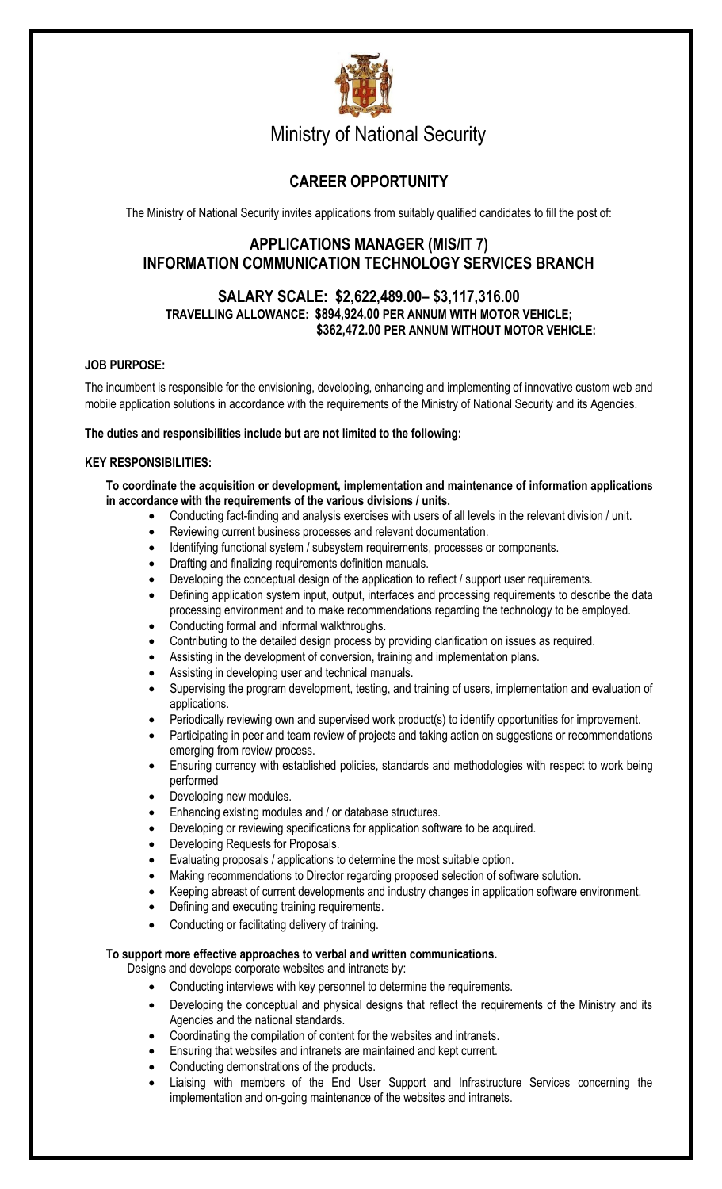

Ministry of National Security

# **CAREER OPPORTUNITY**

The Ministry of National Security invites applications from suitably qualified candidates to fill the post of:

## **APPLICATIONS MANAGER (MIS/IT 7) INFORMATION COMMUNICATION TECHNOLOGY SERVICES BRANCH**

## **SALARY SCALE: \$2,622,489.00– \$3,117,316.00 TRAVELLING ALLOWANCE: \$894,924.00 PER ANNUM WITH MOTOR VEHICLE; \$362,472.00 PER ANNUM WITHOUT MOTOR VEHICLE:**

## **JOB PURPOSE:**

The incumbent is responsible for the envisioning, developing, enhancing and implementing of innovative custom web and mobile application solutions in accordance with the requirements of the Ministry of National Security and its Agencies.

## **The duties and responsibilities include but are not limited to the following:**

## **KEY RESPONSIBILITIES:**

**To coordinate the acquisition or development, implementation and maintenance of information applications in accordance with the requirements of the various divisions / units.**

- Conducting fact-finding and analysis exercises with users of all levels in the relevant division / unit.
- Reviewing current business processes and relevant documentation.
- Identifying functional system / subsystem requirements, processes or components.
- Drafting and finalizing requirements definition manuals.
- Developing the conceptual design of the application to reflect / support user requirements.
- Defining application system input, output, interfaces and processing requirements to describe the data processing environment and to make recommendations regarding the technology to be employed.
- Conducting formal and informal walkthroughs.
- Contributing to the detailed design process by providing clarification on issues as required.
- Assisting in the development of conversion, training and implementation plans.
- Assisting in developing user and technical manuals.
- Supervising the program development, testing, and training of users, implementation and evaluation of applications.
- Periodically reviewing own and supervised work product(s) to identify opportunities for improvement.
- Participating in peer and team review of projects and taking action on suggestions or recommendations emerging from review process.
- Ensuring currency with established policies, standards and methodologies with respect to work being performed
- Developing new modules.
- Enhancing existing modules and / or database structures.
- Developing or reviewing specifications for application software to be acquired.
- Developing Requests for Proposals.
- Evaluating proposals / applications to determine the most suitable option.
- Making recommendations to Director regarding proposed selection of software solution.
- Keeping abreast of current developments and industry changes in application software environment.
- Defining and executing training requirements.
- Conducting or facilitating delivery of training.

## **To support more effective approaches to verbal and written communications.**

Designs and develops corporate websites and intranets by:

- Conducting interviews with key personnel to determine the requirements.
- Developing the conceptual and physical designs that reflect the requirements of the Ministry and its Agencies and the national standards.
- Coordinating the compilation of content for the websites and intranets.
- Ensuring that websites and intranets are maintained and kept current.
- Conducting demonstrations of the products.
- Liaising with members of the End User Support and Infrastructure Services concerning the implementation and on-going maintenance of the websites and intranets.